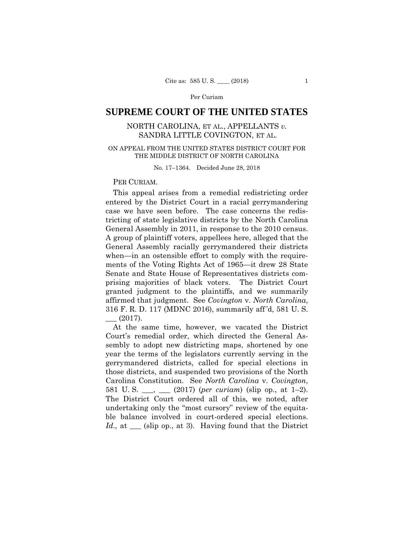# **SUPREME COURT OF THE UNITED STATES**

# NORTH CAROLINA, ET AL., APPELLANTS *v.* SANDRA LITTLE COVINGTON, ET AL.

# ON APPEAL FROM THE UNITED STATES DISTRICT COURT FOR THE MIDDLE DISTRICT OF NORTH CAROLINA

No. 17–1364. Decided June 28, 2018

## PER CURIAM.

 General Assembly in 2011, in response to the 2010 census. This appeal arises from a remedial redistricting order entered by the District Court in a racial gerrymandering case we have seen before. The case concerns the redistricting of state legislative districts by the North Carolina A group of plaintiff voters, appellees here, alleged that the General Assembly racially gerrymandered their districts when—in an ostensible effort to comply with the requirements of the Voting Rights Act of 1965—it drew 28 State Senate and State House of Representatives districts comprising majorities of black voters. The District Court granted judgment to the plaintiffs, and we summarily affirmed that judgment. See *Covington* v. *North Carolina*, 316 F. R. D. 117 (MDNC 2016), summarily aff 'd, 581 U. S.  $(2017).$ 

 581 U. S. \_\_\_, \_\_\_ (2017) (*per curiam*) (slip op., at 1–2). ble balance involved in court-ordered special elections. At the same time, however, we vacated the District Court's remedial order, which directed the General Assembly to adopt new districting maps, shortened by one year the terms of the legislators currently serving in the gerrymandered districts, called for special elections in those districts, and suspended two provisions of the North Carolina Constitution. See *North Carolina* v. *Covington*, The District Court ordered all of this, we noted, after undertaking only the "most cursory" review of the equita-*Id.*, at <u>equal</u> (slip op., at 3). Having found that the District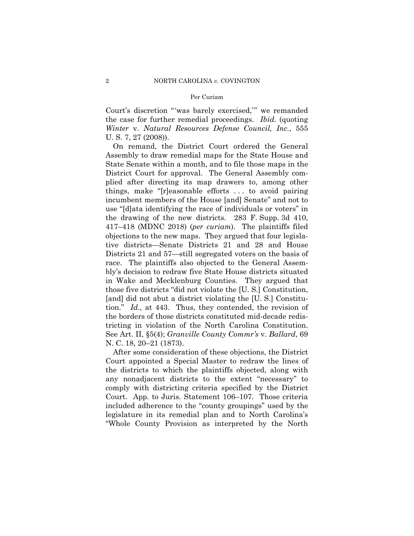Court's discretion "'was barely exercised,'" we remanded the case for further remedial proceedings. *Ibid.* (quoting *Winter* v. *Natural Resources Defense Council, Inc.*, 555 U. S. 7, 27 (2008)).

On remand, the District Court ordered the General Assembly to draw remedial maps for the State House and State Senate within a month, and to file those maps in the District Court for approval. The General Assembly complied after directing its map drawers to, among other things, make "[r]easonable efforts . . . to avoid pairing incumbent members of the House [and] Senate" and not to use "[d]ata identifying the race of individuals or voters" in the drawing of the new districts. 283 F. Supp. 3d 410, 417–418 (MDNC 2018) (*per curiam*). The plaintiffs filed objections to the new maps. They argued that four legislative districts—Senate Districts 21 and 28 and House Districts 21 and 57—still segregated voters on the basis of race. The plaintiffs also objected to the General Assembly's decision to redraw five State House districts situated in Wake and Mecklenburg Counties. They argued that those five districts "did not violate the [U. S.] Constitution, [and] did not abut a district violating the [U. S.] Constitution." *Id.,* at 443. Thus, they contended, the revision of the borders of those districts constituted mid-decade redistricting in violation of the North Carolina Constitution. See Art. II, §5(4); *Granville County Commr's* v. *Ballard*, 69 N. C. 18, 20–21 (1873).

After some consideration of these objections, the District Court appointed a Special Master to redraw the lines of the districts to which the plaintiffs objected, along with any nonadjacent districts to the extent "necessary" to comply with districting criteria specified by the District Court. App. to Juris. Statement 106–107. Those criteria included adherence to the "county groupings" used by the legislature in its remedial plan and to North Carolina's "Whole County Provision as interpreted by the North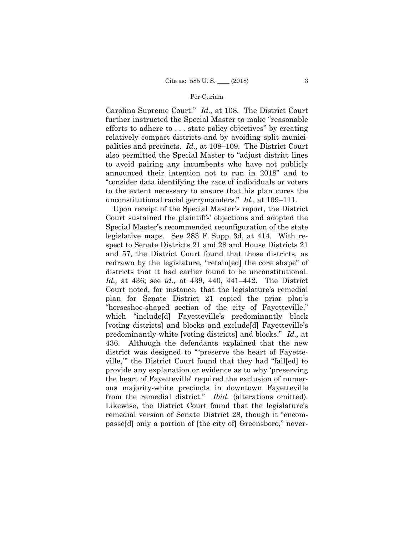Carolina Supreme Court." *Id.,* at 108. The District Court further instructed the Special Master to make "reasonable efforts to adhere to . . . state policy objectives" by creating relatively compact districts and by avoiding split municipalities and precincts. *Id.,* at 108–109. The District Court also permitted the Special Master to "adjust district lines to avoid pairing any incumbents who have not publicly announced their intention not to run in 2018" and to "consider data identifying the race of individuals or voters to the extent necessary to ensure that his plan cures the unconstitutional racial gerrymanders." *Id.,* at 109–111.

 plan for Senate District 21 copied the prior plan's from the remedial district." *Ibid.* (alterations omitted). Upon receipt of the Special Master's report, the District Court sustained the plaintiffs' objections and adopted the Special Master's recommended reconfiguration of the state legislative maps. See 283 F. Supp. 3d, at 414. With respect to Senate Districts 21 and 28 and House Districts 21 and 57, the District Court found that those districts, as redrawn by the legislature, "retain[ed] the core shape" of districts that it had earlier found to be unconstitutional. *Id.,* at 436; see *id.,* at 439, 440, 441–442. The District Court noted, for instance, that the legislature's remedial "horseshoe-shaped section of the city of Fayetteville," which "include[d] Fayetteville's predominantly black [voting districts] and blocks and exclude[d] Fayetteville's predominantly white [voting districts] and blocks." *Id.,* at 436. Although the defendants explained that the new district was designed to "'preserve the heart of Fayetteville,'" the District Court found that they had "fail[ed] to provide any explanation or evidence as to why 'preserving the heart of Fayetteville' required the exclusion of numerous majority-white precincts in downtown Fayetteville Likewise, the District Court found that the legislature's remedial version of Senate District 28, though it "encompasse[d] only a portion of [the city of] Greensboro," never-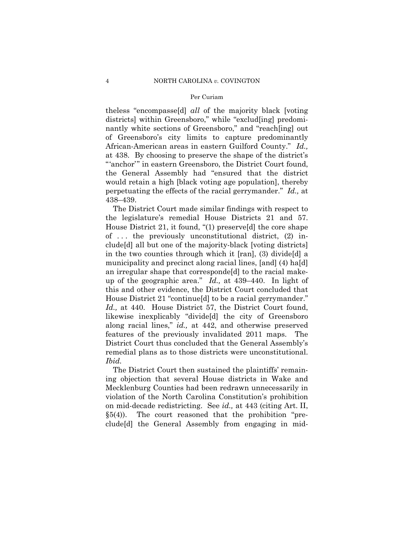theless "encompasse[d] *all* of the majority black [voting districts] within Greensboro," while "exclud[ing] predominantly white sections of Greensboro," and "reach[ing] out of Greensboro's city limits to capture predominantly African-American areas in eastern Guilford County." *Id.,*  at 438. By choosing to preserve the shape of the district's "'anchor'" in eastern Greensboro, the District Court found, the General Assembly had "ensured that the district would retain a high [black voting age population], thereby perpetuating the effects of the racial gerrymander." *Id.,* at 438–439.

The District Court made similar findings with respect to the legislature's remedial House Districts 21 and 57. House District 21, it found, "(1) preserve[d] the core shape of . . . the previously unconstitutional district, (2) include[d] all but one of the majority-black [voting districts] in the two counties through which it [ran], (3) divide[d] a municipality and precinct along racial lines, [and] (4) ha[d] an irregular shape that corresponde[d] to the racial makeup of the geographic area." *Id.,* at 439–440. In light of this and other evidence, the District Court concluded that House District 21 "continue[d] to be a racial gerrymander." *Id.,* at 440. House District 57, the District Court found, likewise inexplicably "divide[d] the city of Greensboro along racial lines," *id.,* at 442, and otherwise preserved features of the previously invalidated 2011 maps. The District Court thus concluded that the General Assembly's remedial plans as to those districts were unconstitutional. *Ibid.* 

The District Court then sustained the plaintiffs' remaining objection that several House districts in Wake and Mecklenburg Counties had been redrawn unnecessarily in violation of the North Carolina Constitution's prohibition on mid-decade redistricting. See *id.,* at 443 (citing Art. II, §5(4)). The court reasoned that the prohibition "preclude[d] the General Assembly from engaging in mid-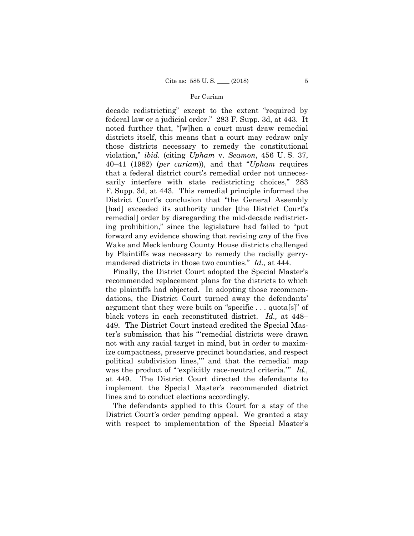decade redistricting" except to the extent "required by federal law or a judicial order." 283 F. Supp. 3d, at 443. It noted further that, "[w]hen a court must draw remedial districts itself, this means that a court may redraw only those districts necessary to remedy the constitutional violation," *ibid.* (citing *Upham* v. *Seamon*, 456 U. S. 37, 40–41 (1982) (*per curiam*)), and that "*Upham* requires that a federal district court's remedial order not unnecessarily interfere with state redistricting choices," 283 F. Supp. 3d, at 443. This remedial principle informed the District Court's conclusion that "the General Assembly [had] exceeded its authority under [the District Court's remedial] order by disregarding the mid-decade redistricting prohibition," since the legislature had failed to "put forward any evidence showing that revising *any* of the five Wake and Mecklenburg County House districts challenged by Plaintiffs was necessary to remedy the racially gerrymandered districts in those two counties." *Id.,* at 444.

Finally, the District Court adopted the Special Master's recommended replacement plans for the districts to which the plaintiffs had objected. In adopting those recommendations, the District Court turned away the defendants' argument that they were built on "specific . . . quota[s]" of black voters in each reconstituted district. *Id.,* at 448– 449. The District Court instead credited the Special Master's submission that his "'remedial districts were drawn not with any racial target in mind, but in order to maximize compactness, preserve precinct boundaries, and respect political subdivision lines,'" and that the remedial map was the product of "'explicitly race-neutral criteria.'" *Id.,*  at 449. The District Court directed the defendants to implement the Special Master's recommended district lines and to conduct elections accordingly.

The defendants applied to this Court for a stay of the District Court's order pending appeal. We granted a stay with respect to implementation of the Special Master's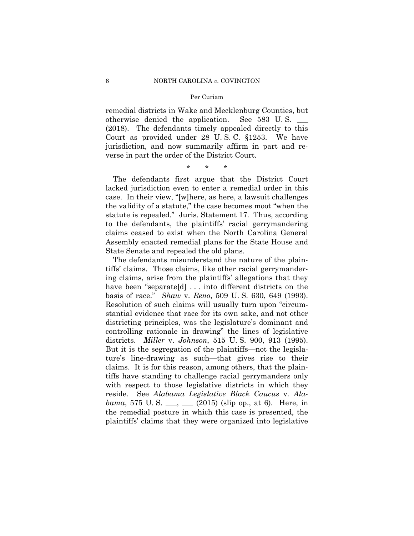remedial districts in Wake and Mecklenburg Counties, but otherwise denied the application. See 583 U. S. \_\_\_ (2018). The defendants timely appealed directly to this Court as provided under 28 U. S. C. §1253. We have jurisdiction, and now summarily affirm in part and reverse in part the order of the District Court.

\* \* \*

The defendants first argue that the District Court lacked jurisdiction even to enter a remedial order in this case. In their view, "[w]here, as here, a lawsuit challenges the validity of a statute," the case becomes moot "when the statute is repealed." Juris. Statement 17. Thus, according to the defendants, the plaintiffs' racial gerrymandering claims ceased to exist when the North Carolina General Assembly enacted remedial plans for the State House and State Senate and repealed the old plans.

The defendants misunderstand the nature of the plaintiffs' claims. Those claims, like other racial gerrymandering claims, arise from the plaintiffs' allegations that they have been "separate[d] ... into different districts on the basis of race." *Shaw* v. *Reno*, 509 U. S. 630, 649 (1993). Resolution of such claims will usually turn upon "circumstantial evidence that race for its own sake, and not other districting principles, was the legislature's dominant and controlling rationale in drawing" the lines of legislative districts. *Miller* v. *Johnson*, 515 U. S. 900, 913 (1995). But it is the segregation of the plaintiffs—not the legislature's line-drawing as such—that gives rise to their claims. It is for this reason, among others, that the plaintiffs have standing to challenge racial gerrymanders only with respect to those legislative districts in which they reside. See *Alabama Legislative Black Caucus* v. *Alabama*, 575 U.S. \_\_\_, \_\_ (2015) (slip op., at 6). Here, in the remedial posture in which this case is presented, the plaintiffs' claims that they were organized into legislative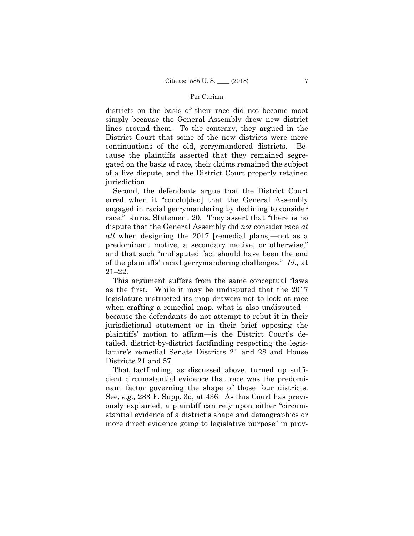districts on the basis of their race did not become moot simply because the General Assembly drew new district lines around them. To the contrary, they argued in the District Court that some of the new districts were mere continuations of the old, gerrymandered districts. Because the plaintiffs asserted that they remained segregated on the basis of race, their claims remained the subject of a live dispute, and the District Court properly retained jurisdiction.

Second, the defendants argue that the District Court erred when it "conclu[ded] that the General Assembly engaged in racial gerrymandering by declining to consider race." Juris. Statement 20. They assert that "there is no dispute that the General Assembly did *not* consider race *at all* when designing the 2017 [remedial plans]—not as a predominant motive, a secondary motive, or otherwise," and that such "undisputed fact should have been the end of the plaintiffs' racial gerrymandering challenges." *Id.,* at 21–22.

This argument suffers from the same conceptual flaws as the first. While it may be undisputed that the 2017 legislature instructed its map drawers not to look at race when crafting a remedial map, what is also undisputed because the defendants do not attempt to rebut it in their jurisdictional statement or in their brief opposing the plaintiffs' motion to affirm—is the District Court's detailed, district-by-district factfinding respecting the legislature's remedial Senate Districts 21 and 28 and House Districts 21 and 57.

That factfinding, as discussed above, turned up sufficient circumstantial evidence that race was the predominant factor governing the shape of those four districts. See, *e.g.,* 283 F. Supp. 3d, at 436. As this Court has previously explained, a plaintiff can rely upon either "circumstantial evidence of a district's shape and demographics or more direct evidence going to legislative purpose" in prov-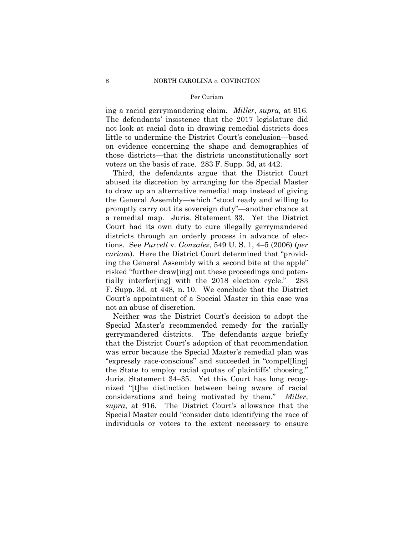ing a racial gerrymandering claim. *Miller*, *supra,* at 916. The defendants' insistence that the 2017 legislature did not look at racial data in drawing remedial districts does little to undermine the District Court's conclusion—based on evidence concerning the shape and demographics of those districts—that the districts unconstitutionally sort voters on the basis of race. 283 F. Supp. 3d, at 442.

Third, the defendants argue that the District Court abused its discretion by arranging for the Special Master to draw up an alternative remedial map instead of giving the General Assembly—which "stood ready and willing to promptly carry out its sovereign duty"—another chance at a remedial map. Juris. Statement 33. Yet the District Court had its own duty to cure illegally gerrymandered districts through an orderly process in advance of elections. See *Purcell* v. *Gonzalez*, 549 U. S. 1, 4–5 (2006) (*per curiam*). Here the District Court determined that "providing the General Assembly with a second bite at the apple" risked "further draw[ing] out these proceedings and potentially interfer[ing] with the 2018 election cycle." 283 F. Supp. 3d, at 448, n. 10. We conclude that the District Court's appointment of a Special Master in this case was not an abuse of discretion.

Neither was the District Court's decision to adopt the Special Master's recommended remedy for the racially gerrymandered districts. The defendants argue briefly that the District Court's adoption of that recommendation was error because the Special Master's remedial plan was "expressly race-conscious" and succeeded in "compel[ling] the State to employ racial quotas of plaintiffs' choosing." Juris. Statement 34–35. Yet this Court has long recognized "[t]he distinction between being aware of racial considerations and being motivated by them." *Miller*, *supra*, at 916. The District Court's allowance that the Special Master could "consider data identifying the race of individuals or voters to the extent necessary to ensure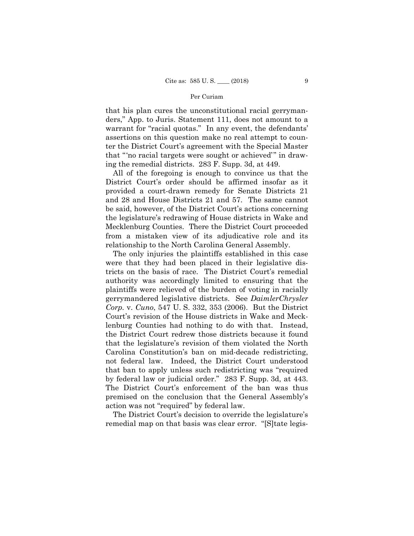that his plan cures the unconstitutional racial gerrymanders," App. to Juris. Statement 111, does not amount to a warrant for "racial quotas." In any event, the defendants' assertions on this question make no real attempt to counter the District Court's agreement with the Special Master that "'no racial targets were sought or achieved'" in drawing the remedial districts. 283 F. Supp. 3d, at 449.

 from a mistaken view of its adjudicative role and its All of the foregoing is enough to convince us that the District Court's order should be affirmed insofar as it provided a court-drawn remedy for Senate Districts 21 and 28 and House Districts 21 and 57. The same cannot be said, however, of the District Court's actions concerning the legislature's redrawing of House districts in Wake and Mecklenburg Counties. There the District Court proceeded relationship to the North Carolina General Assembly.

The only injuries the plaintiffs established in this case were that they had been placed in their legislative districts on the basis of race. The District Court's remedial authority was accordingly limited to ensuring that the plaintiffs were relieved of the burden of voting in racially gerrymandered legislative districts. See *DaimlerChrysler Corp.* v. *Cuno*, 547 U. S. 332, 353 (2006). But the District Court's revision of the House districts in Wake and Mecklenburg Counties had nothing to do with that. Instead, the District Court redrew those districts because it found that the legislature's revision of them violated the North Carolina Constitution's ban on mid-decade redistricting, not federal law. Indeed, the District Court understood that ban to apply unless such redistricting was "required by federal law or judicial order." 283 F. Supp. 3d, at 443. The District Court's enforcement of the ban was thus premised on the conclusion that the General Assembly's action was not "required" by federal law.

The District Court's decision to override the legislature's remedial map on that basis was clear error. "[S]tate legis-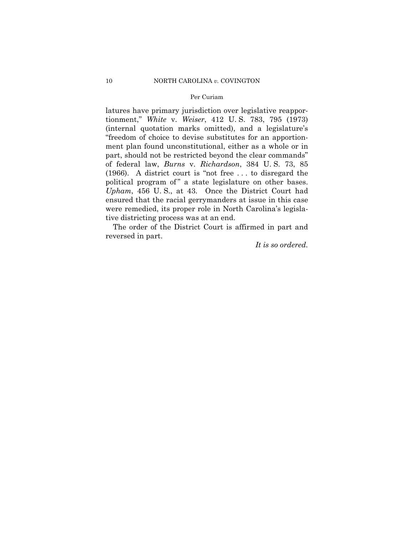political program of" a state legislature on other bases. latures have primary jurisdiction over legislative reapportionment," *White* v. *Weiser*, 412 U. S. 783, 795 (1973) (internal quotation marks omitted), and a legislature's "freedom of choice to devise substitutes for an apportionment plan found unconstitutional, either as a whole or in part, should not be restricted beyond the clear commands" of federal law, *Burns* v. *Richardson*, 384 U. S. 73, 85 (1966). A district court is "not free . . . to disregard the *Upham*, 456 U. S., at 43. Once the District Court had ensured that the racial gerrymanders at issue in this case were remedied, its proper role in North Carolina's legislative districting process was at an end.

The order of the District Court is affirmed in part and reversed in part.

*It is so ordered.*